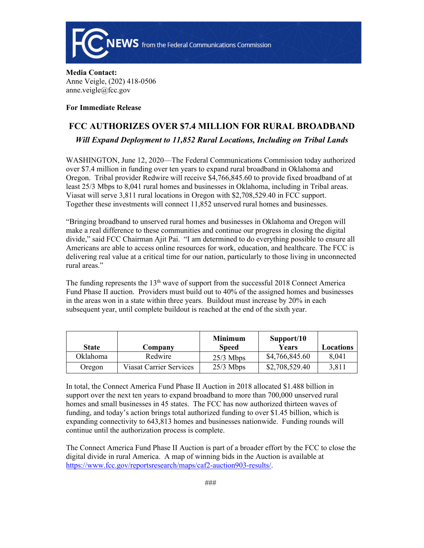

### **Media Contact:**  Anne Veigle, (202) 418-0506 anne.veigle@fcc.gov

### **For Immediate Release**

# **FCC AUTHORIZES OVER \$7.4 MILLION FOR RURAL BROADBAND**

## *Will Expand Deployment to 11,852 Rural Locations, Including on Tribal Lands*

WASHINGTON, June 12, 2020—The Federal Communications Commission today authorized over \$7.4 million in funding over ten years to expand rural broadband in Oklahoma and Oregon. Tribal provider Redwire will receive \$4,766,845.60 to provide fixed broadband of at least 25/3 Mbps to 8,041 rural homes and businesses in Oklahoma, including in Tribal areas. Viasat will serve 3,811 rural locations in Oregon with \$2,708,529.40 in FCC support. Together these investments will connect 11,852 unserved rural homes and businesses.

"Bringing broadband to unserved rural homes and businesses in Oklahoma and Oregon will make a real difference to these communities and continue our progress in closing the digital divide," said FCC Chairman Ajit Pai. "I am determined to do everything possible to ensure all Americans are able to access online resources for work, education, and healthcare. The FCC is delivering real value at a critical time for our nation, particularly to those living in unconnected rural areas."

The funding represents the  $13<sup>th</sup>$  wave of support from the successful 2018 Connect America Fund Phase II auction. Providers must build out to 40% of the assigned homes and businesses in the areas won in a state within three years. Buildout must increase by 20% in each subsequent year, until complete buildout is reached at the end of the sixth year.

| <b>State</b> | Company                 | <b>Minimum</b><br><b>Speed</b> | Support/10<br>Years | Locations |
|--------------|-------------------------|--------------------------------|---------------------|-----------|
| Oklahoma     | Redwire                 | $25/3$ Mbps                    | \$4,766,845.60      | 8,041     |
| Oregon       | Viasat Carrier Services | $25/3$ Mbps                    | \$2,708,529.40      | 3,811     |

In total, the Connect America Fund Phase II Auction in 2018 allocated \$1.488 billion in support over the next ten years to expand broadband to more than 700,000 unserved rural homes and small businesses in 45 states. The FCC has now authorized thirteen waves of funding, and today's action brings total authorized funding to over \$1.45 billion, which is expanding connectivity to 643,813 homes and businesses nationwide. Funding rounds will continue until the authorization process is complete.

The Connect America Fund Phase II Auction is part of a broader effort by the FCC to close the digital divide in rural America. A map of winning bids in the Auction is available at [https://www.fcc.gov/reportsresearch/maps/caf2-auction903-results/.](https://www.fcc.gov/reportsresearch/maps/caf2-auction903-results/)